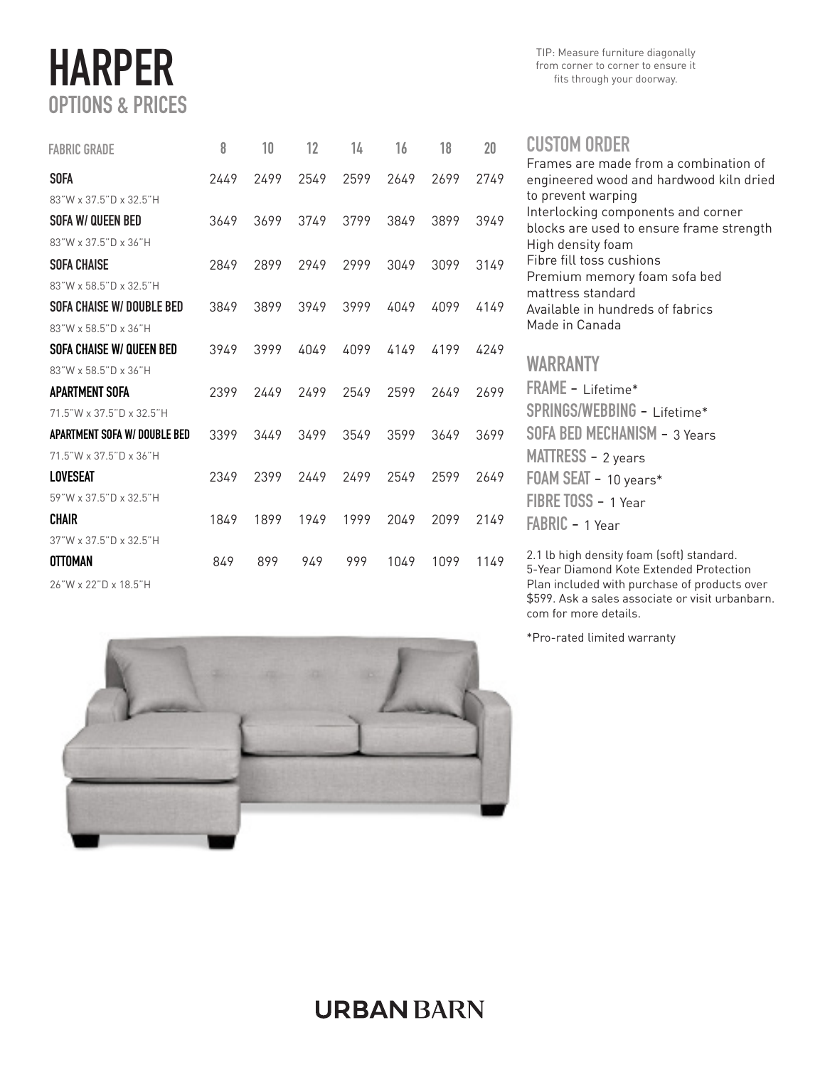# HARPER OPTIONS & PRICES

| <b>FABRIC GRADE</b>          | 8    | 10   | 12   | 14   | 16   | 18   | 20   |
|------------------------------|------|------|------|------|------|------|------|
| <b>SOFA</b>                  | 2449 | 2499 | 2549 | 2599 | 2649 | 2699 | 2749 |
| 83"W x 37.5"D x 32.5"H       |      |      |      |      |      |      |      |
| SOFA W/ QUEEN BED            | 3649 | 3699 | 3749 | 3799 | 3849 | 3899 | 3949 |
| 83"W x 37.5"D x 36"H         |      |      |      |      |      |      |      |
| <b>SOFA CHAISE</b>           | 2849 | 2899 | 2949 | 2999 | 3049 | 3099 | 3149 |
| 83"W x 58.5"D x 32.5"H       |      |      |      |      |      |      |      |
| SOFA CHAISE W/ DOUBLE BED    | 3849 | 3899 | 3949 | 3999 | 4049 | 4099 | 4149 |
| 83"W x 58 5"D x 36"H         |      |      |      |      |      |      |      |
| SOFA CHAISE W/ QUEEN BED     | 3949 | 3999 | 4049 | 4099 | 4149 | 4199 | 4249 |
| 83"W x 58.5"D x 36"H         |      |      |      |      |      |      |      |
| APARTMENT SOFA               | 2399 | 2449 | 2499 | 2549 | 2599 | 2649 | 2699 |
| 71.5"W x 37.5"D x 32.5"H     |      |      |      |      |      |      |      |
| APARTMENT SOFA W/ DOUBLE BED | 3399 | 3449 | 3499 | 3549 | 3599 | 3649 | 3699 |
| 71.5"W x 37.5"D x 36"H       |      |      |      |      |      |      |      |
| LOVESEAT                     | 2349 | 2399 | 2449 | 2499 | 2549 | 2599 | 2649 |
| 59"W x 37.5"D x 32.5"H       |      |      |      |      |      |      |      |
| <b>CHAIR</b>                 | 1849 | 1899 | 1949 | 1999 | 2049 | 2099 | 2149 |
| 37"W x 37.5"D x 32.5"H       |      |      |      |      |      |      |      |
| <b>OTTOMAN</b>               | 849  | 899  | 949  | 999  | 1049 | 1099 | 1149 |
|                              |      |      |      |      |      |      |      |





#### CUSTOM ORDER

Frames are made from a combination of engineered wood and hardwood kiln dried to prevent warping Interlocking components and corner blocks are used to ensure frame strength High density foam Fibre fill toss cushions Premium memory foam sofa bed mattress standard Available in hundreds of fabrics Made in Canada WARRANTY FRAME - Lifetime\*

SPRINGS/WEBBING - Lifetime\* SOFA BED MECHANISM - 3 Years MATTRESS - 2 years FOAM SEAT - 10 years\* FIBRE TOSS - 1 Year FABRIC - 1 Year

2.1 lb high density foam (soft) standard. 5-Year Diamond Kote Extended Protection Plan included with purchase of products over \$599. Ask a sales associate or visit urbanbarn. com for more details.

\*Pro-rated limited warranty

## **URBAN BARN**